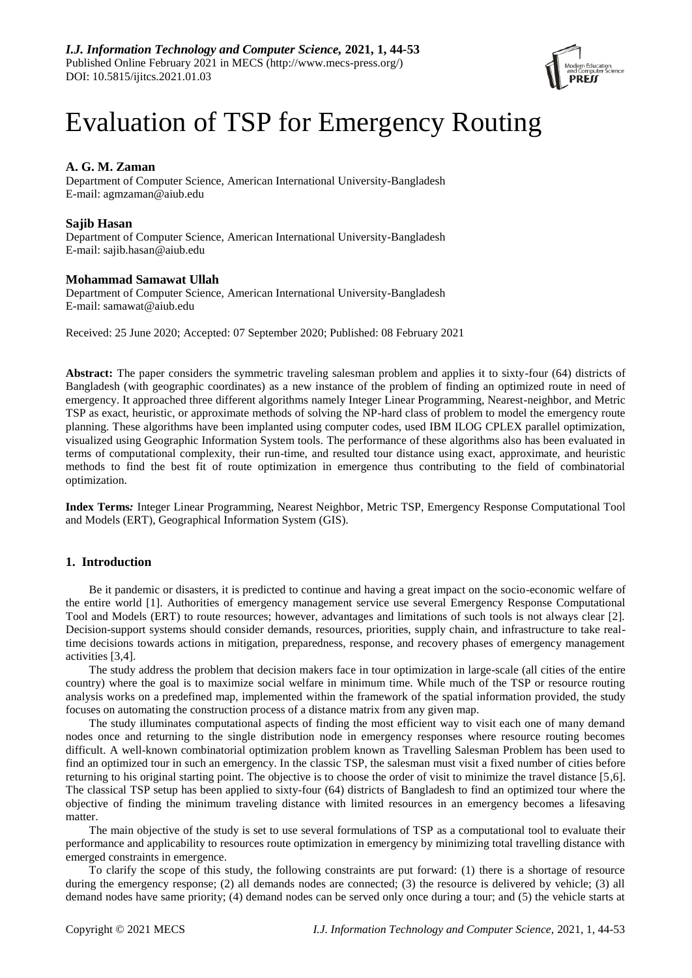

# Evaluation of TSP for Emergency Routing

# **A. G. M. Zaman**

Department of Computer Science, American International University-Bangladesh E-mail: agmzaman@aiub.edu

## **Sajib Hasan**

Department of Computer Science, American International University-Bangladesh E-mail: sajib.hasan@aiub.edu

## **Mohammad Samawat Ullah**

Department of Computer Science, American International University-Bangladesh E-mail: samawat@aiub.edu

Received: 25 June 2020; Accepted: 07 September 2020; Published: 08 February 2021

**Abstract:** The paper considers the symmetric traveling salesman problem and applies it to sixty-four (64) districts of Bangladesh (with geographic coordinates) as a new instance of the problem of finding an optimized route in need of emergency. It approached three different algorithms namely Integer Linear Programming, Nearest-neighbor, and Metric TSP as exact, heuristic, or approximate methods of solving the NP-hard class of problem to model the emergency route planning. These algorithms have been implanted using computer codes, used IBM ILOG CPLEX parallel optimization, visualized using Geographic Information System tools. The performance of these algorithms also has been evaluated in terms of computational complexity, their run-time, and resulted tour distance using exact, approximate, and heuristic methods to find the best fit of route optimization in emergence thus contributing to the field of combinatorial optimization.

**Index Terms***:* Integer Linear Programming, Nearest Neighbor, Metric TSP, Emergency Response Computational Tool and Models (ERT), Geographical Information System (GIS).

# **1. Introduction**

Be it pandemic or disasters, it is predicted to continue and having a great impact on the socio-economic welfare of the entire world [1]. Authorities of emergency management service use several Emergency Response Computational Tool and Models (ERT) to route resources; however, advantages and limitations of such tools is not always clear [2]. Decision-support systems should consider demands, resources, priorities, supply chain, and infrastructure to take realtime decisions towards actions in mitigation, preparedness, response, and recovery phases of emergency management activities [3,4].

The study address the problem that decision makers face in tour optimization in large-scale (all cities of the entire country) where the goal is to maximize social welfare in minimum time. While much of the TSP or resource routing analysis works on a predefined map, implemented within the framework of the spatial information provided, the study focuses on automating the construction process of a distance matrix from any given map.

The study illuminates computational aspects of finding the most efficient way to visit each one of many demand nodes once and returning to the single distribution node in emergency responses where resource routing becomes difficult. A well-known combinatorial optimization problem known as Travelling Salesman Problem has been used to find an optimized tour in such an emergency. In the classic TSP, the salesman must visit a fixed number of cities before returning to his original starting point. The objective is to choose the order of visit to minimize the travel distance [5,6]. The classical TSP setup has been applied to sixty-four (64) districts of Bangladesh to find an optimized tour where the objective of finding the minimum traveling distance with limited resources in an emergency becomes a lifesaving matter.

The main objective of the study is set to use several formulations of TSP as a computational tool to evaluate their performance and applicability to resources route optimization in emergency by minimizing total travelling distance with emerged constraints in emergence.

To clarify the scope of this study, the following constraints are put forward: (1) there is a shortage of resource during the emergency response; (2) all demands nodes are connected; (3) the resource is delivered by vehicle; (3) all demand nodes have same priority; (4) demand nodes can be served only once during a tour; and (5) the vehicle starts at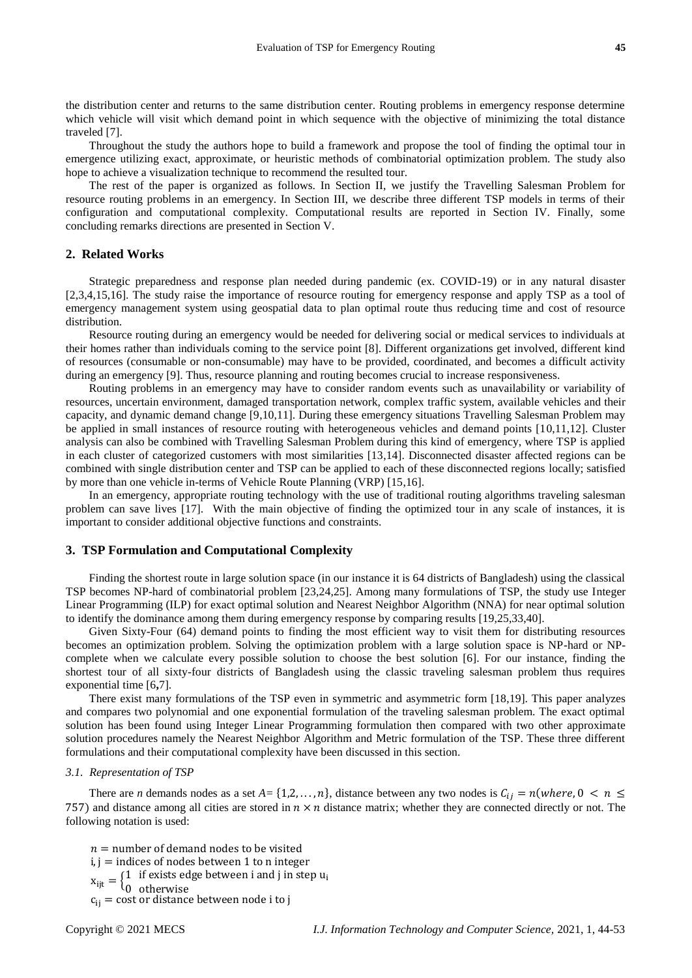the distribution center and returns to the same distribution center. Routing problems in emergency response determine which vehicle will visit which demand point in which sequence with the objective of minimizing the total distance traveled [7].

Throughout the study the authors hope to build a framework and propose the tool of finding the optimal tour in emergence utilizing exact, approximate, or heuristic methods of combinatorial optimization problem. The study also hope to achieve a visualization technique to recommend the resulted tour.

The rest of the paper is organized as follows. In Section II, we justify the Travelling Salesman Problem for resource routing problems in an emergency. In Section III, we describe three different TSP models in terms of their configuration and computational complexity. Computational results are reported in Section IV. Finally, some concluding remarks directions are presented in Section V.

## **2. Related Works**

Strategic preparedness and response plan needed during pandemic (ex. COVID-19) or in any natural disaster [2,3,4,15,16]. The study raise the importance of resource routing for emergency response and apply TSP as a tool of emergency management system using geospatial data to plan optimal route thus reducing time and cost of resource distribution.

Resource routing during an emergency would be needed for delivering social or medical services to individuals at their homes rather than individuals coming to the service point [8]. Different organizations get involved, different kind of resources (consumable or non-consumable) may have to be provided, coordinated, and becomes a difficult activity during an emergency [9]. Thus, resource planning and routing becomes crucial to increase responsiveness.

Routing problems in an emergency may have to consider random events such as unavailability or variability of resources, uncertain environment, damaged transportation network, complex traffic system, available vehicles and their capacity, and dynamic demand change [9,10,11]. During these emergency situations Travelling Salesman Problem may be applied in small instances of resource routing with heterogeneous vehicles and demand points [10,11,12]. Cluster analysis can also be combined with Travelling Salesman Problem during this kind of emergency, where TSP is applied in each cluster of categorized customers with most similarities [13,14]. Disconnected disaster affected regions can be combined with single distribution center and TSP can be applied to each of these disconnected regions locally; satisfied by more than one vehicle in-terms of Vehicle Route Planning (VRP) [15,16].

In an emergency, appropriate routing technology with the use of traditional routing algorithms traveling salesman problem can save lives [17]. With the main objective of finding the optimized tour in any scale of instances, it is important to consider additional objective functions and constraints.

#### **3. TSP Formulation and Computational Complexity**

Finding the shortest route in large solution space (in our instance it is 64 districts of Bangladesh) using the classical TSP becomes NP-hard of combinatorial problem [23,24,25]. Among many formulations of TSP, the study use Integer Linear Programming (ILP) for exact optimal solution and Nearest Neighbor Algorithm (NNA) for near optimal solution to identify the dominance among them during emergency response by comparing results [19,25,33,40].

Given Sixty-Four (64) demand points to finding the most efficient way to visit them for distributing resources becomes an optimization problem. Solving the optimization problem with a large solution space is NP-hard or NPcomplete when we calculate every possible solution to choose the best solution [6]. For our instance, finding the shortest tour of all sixty-four districts of Bangladesh using the classic traveling salesman problem thus requires exponential time [6**,**7].

There exist many formulations of the TSP even in symmetric and asymmetric form [18,19]. This paper analyzes and compares two polynomial and one exponential formulation of the traveling salesman problem. The exact optimal solution has been found using Integer Linear Programming formulation then compared with two other approximate solution procedures namely the Nearest Neighbor Algorithm and Metric formulation of the TSP. These three different formulations and their computational complexity have been discussed in this section.

#### *3.1. Representation of TSP*

There are *n* demands nodes as a set  $A = \{1,2,\ldots,n\}$ , distance between any two nodes is  $C_{ij} = n(where, 0 < n \leq$ 757) and distance among all cities are stored in  $n \times n$  distance matrix; whether they are connected directly or not. The following notation is used:

 $n =$  number of demand nodes to be visited  $i, j =$  indices of nodes between 1 to n integer

 $x_{ijt} = \begin{cases} 1 & \text{if exists edge between } i \text{ and } j \text{ in step } u_i \\ 0 & \text{otherwise.} \end{cases}$ 

0 otherwise

 $c_{ii}$  = cost or distance between node i to j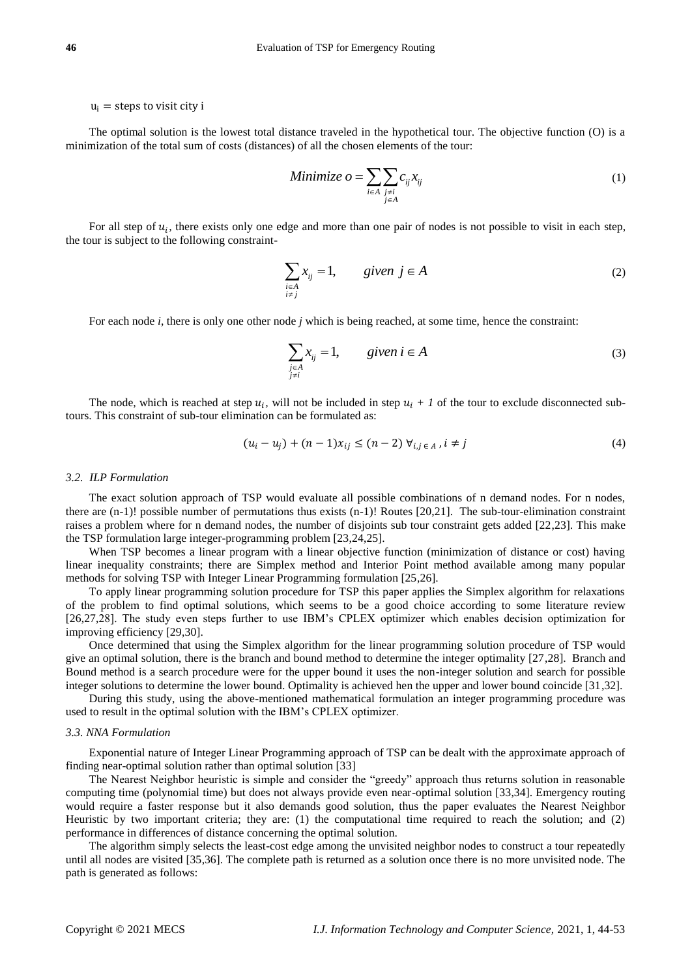#### $u_i$  = steps to visit city i

The optimal solution is the lowest total distance traveled in the hypothetical tour. The objective function (O) is a minimization of the total sum of costs (distances) of all the chosen elements of the tour:

Minimize 
$$
o = \sum_{i \in A} \sum_{\substack{j \neq i \\ j \in A}} c_{ij} x_{ij}
$$
 (1)

For all step of  $u_i$ , there exists only one edge and more than one pair of nodes is not possible to visit in each step, the tour is subject to the following constraint-

$$
\sum_{\substack{i \in A \\ i \neq j}} x_{ij} = 1, \qquad given \ j \in A
$$
 (2)

For each node *i*, there is only one other node *j* which is being reached, at some time, hence the constraint:

$$
\sum_{\substack{j\in A\\j\neq i}} x_{ij} = 1, \qquad given \ i \in A
$$
 (3)

The node, which is reached at step  $u_i$ , will not be included in step  $u_i + 1$  of the tour to exclude disconnected subtours. This constraint of sub-tour elimination can be formulated as:

$$
(u_i - u_j) + (n - 1)x_{ij} \le (n - 2) \forall_{i, j \in A}, i \ne j
$$
\n(4)

#### *3.2. ILP Formulation*

The exact solution approach of TSP would evaluate all possible combinations of n demand nodes. For n nodes, there are (n-1)! possible number of permutations thus exists (n-1)! Routes [20,21]. The sub-tour-elimination constraint raises a problem where for n demand nodes, the number of disjoints sub tour constraint gets added [22,23]. This make the TSP formulation large integer-programming problem [23,24,25].

When TSP becomes a linear program with a linear objective function (minimization of distance or cost) having linear inequality constraints; there are Simplex method and Interior Point method available among many popular methods for solving TSP with Integer Linear Programming formulation [25,26].

To apply linear programming solution procedure for TSP this paper applies the Simplex algorithm for relaxations of the problem to find optimal solutions, which seems to be a good choice according to some literature review [26,27,28]. The study even steps further to use IBM's CPLEX optimizer which enables decision optimization for improving efficiency [29,30].

Once determined that using the Simplex algorithm for the linear programming solution procedure of TSP would give an optimal solution, there is the branch and bound method to determine the integer optimality [27,28]. Branch and Bound method is a search procedure were for the upper bound it uses the non-integer solution and search for possible integer solutions to determine the lower bound. Optimality is achieved hen the upper and lower bound coincide [31,32].

During this study, using the above-mentioned mathematical formulation an integer programming procedure was used to result in the optimal solution with the IBM's CPLEX optimizer.

#### *3.3. NNA Formulation*

Exponential nature of Integer Linear Programming approach of TSP can be dealt with the approximate approach of finding near-optimal solution rather than optimal solution [33]

The Nearest Neighbor heuristic is simple and consider the "greedy" approach thus returns solution in reasonable computing time (polynomial time) but does not always provide even near-optimal solution [33,34]. Emergency routing would require a faster response but it also demands good solution, thus the paper evaluates the Nearest Neighbor Heuristic by two important criteria; they are: (1) the computational time required to reach the solution; and (2) performance in differences of distance concerning the optimal solution.

The algorithm simply selects the least-cost edge among the unvisited neighbor nodes to construct a tour repeatedly until all nodes are visited [35,36]. The complete path is returned as a solution once there is no more unvisited node. The path is generated as follows: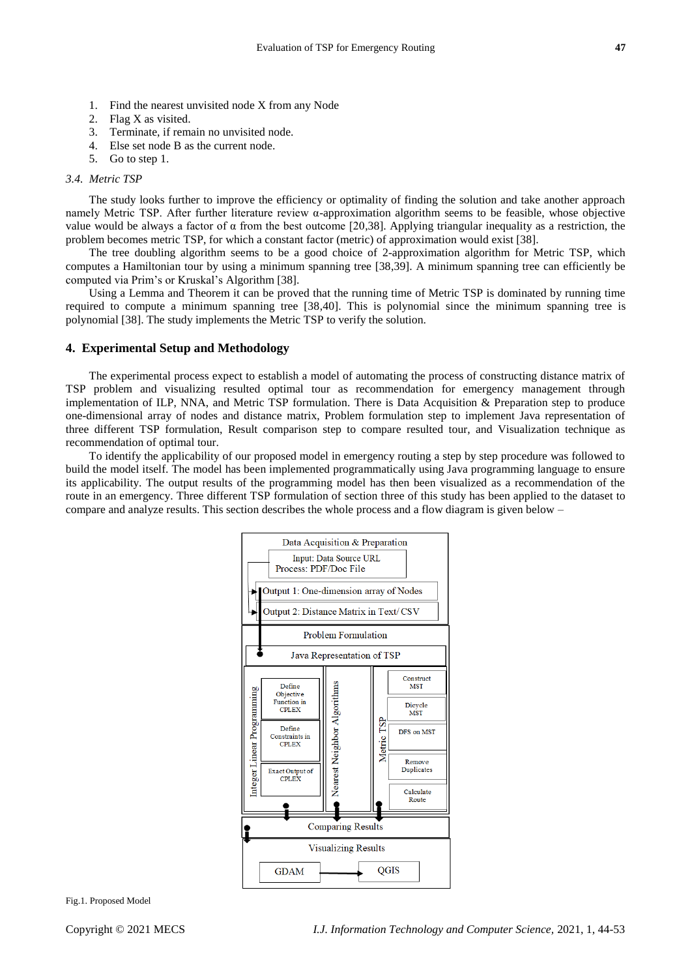- 1. Find the nearest unvisited node X from any Node
- 2. Flag X as visited.
- 3. Terminate, if remain no unvisited node.
- 4. Else set node B as the current node.
- 5. Go to step 1.

#### *3.4. Metric TSP*

The study looks further to improve the efficiency or optimality of finding the solution and take another approach namely Metric TSP. After further literature review α-approximation algorithm seems to be feasible, whose objective value would be always a factor of α from the best outcome [20,38]. Applying triangular inequality as a restriction, the problem becomes metric TSP, for which a constant factor (metric) of approximation would exist [38].

The tree doubling algorithm seems to be a good choice of 2-approximation algorithm for Metric TSP, which computes a Hamiltonian tour by using a minimum spanning tree [38,39]. A minimum spanning tree can efficiently be computed via Prim's or Kruskal's Algorithm [38].

Using a Lemma and Theorem it can be proved that the running time of Metric TSP is dominated by running time required to compute a minimum spanning tree [38,40]. This is polynomial since the minimum spanning tree is polynomial [38]. The study implements the Metric TSP to verify the solution.

### **4. Experimental Setup and Methodology**

The experimental process expect to establish a model of automating the process of constructing distance matrix of TSP problem and visualizing resulted optimal tour as recommendation for emergency management through implementation of ILP, NNA, and Metric TSP formulation. There is Data Acquisition & Preparation step to produce one-dimensional array of nodes and distance matrix, Problem formulation step to implement Java representation of three different TSP formulation, Result comparison step to compare resulted tour, and Visualization technique as recommendation of optimal tour.

To identify the applicability of our proposed model in emergency routing a step by step procedure was followed to build the model itself. The model has been implemented programmatically using Java programming language to ensure its applicability. The output results of the programming model has then been visualized as a recommendation of the route in an emergency. Three different TSP formulation of section three of this study has been applied to the dataset to compare and analyze results. This section describes the whole process and a flow diagram is given below –



Fig.1. Proposed Model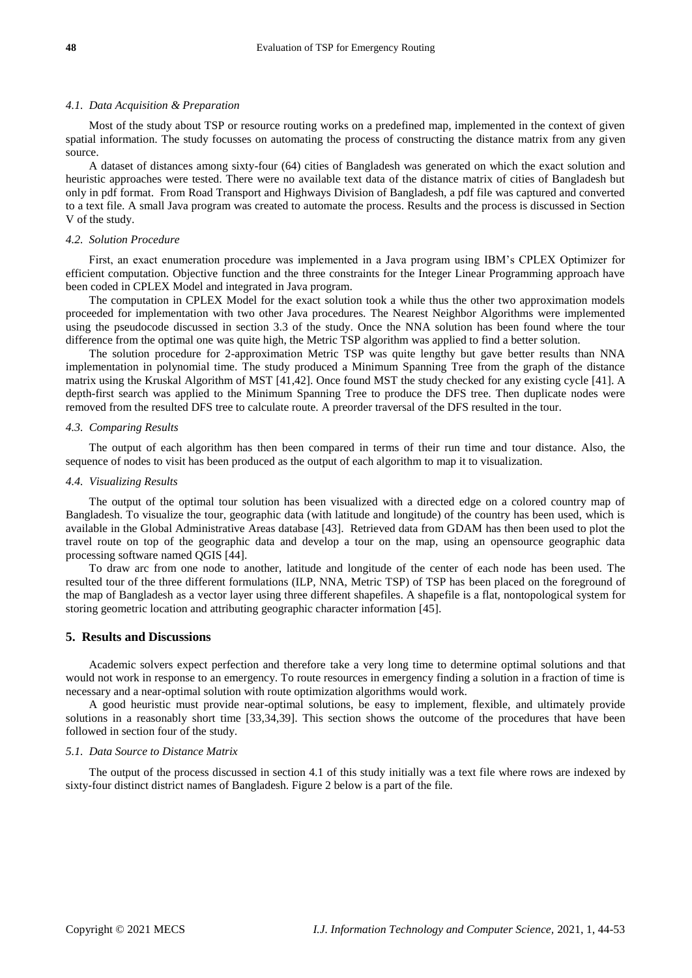#### *4.1. Data Acquisition & Preparation*

Most of the study about TSP or resource routing works on a predefined map, implemented in the context of given spatial information. The study focusses on automating the process of constructing the distance matrix from any given source.

A dataset of distances among sixty-four (64) cities of Bangladesh was generated on which the exact solution and heuristic approaches were tested. There were no available text data of the distance matrix of cities of Bangladesh but only in pdf format. From Road Transport and Highways Division of Bangladesh, a pdf file was captured and converted to a text file. A small Java program was created to automate the process. Results and the process is discussed in Section V of the study.

#### *4.2. Solution Procedure*

First, an exact enumeration procedure was implemented in a Java program using IBM's CPLEX Optimizer for efficient computation. Objective function and the three constraints for the Integer Linear Programming approach have been coded in CPLEX Model and integrated in Java program.

The computation in CPLEX Model for the exact solution took a while thus the other two approximation models proceeded for implementation with two other Java procedures. The Nearest Neighbor Algorithms were implemented using the pseudocode discussed in section 3.3 of the study. Once the NNA solution has been found where the tour difference from the optimal one was quite high, the Metric TSP algorithm was applied to find a better solution.

The solution procedure for 2-approximation Metric TSP was quite lengthy but gave better results than NNA implementation in polynomial time. The study produced a Minimum Spanning Tree from the graph of the distance matrix using the Kruskal Algorithm of MST [41,42]. Once found MST the study checked for any existing cycle [41]. A depth-first search was applied to the Minimum Spanning Tree to produce the DFS tree. Then duplicate nodes were removed from the resulted DFS tree to calculate route. A preorder traversal of the DFS resulted in the tour.

#### *4.3. Comparing Results*

The output of each algorithm has then been compared in terms of their run time and tour distance. Also, the sequence of nodes to visit has been produced as the output of each algorithm to map it to visualization.

#### *4.4. Visualizing Results*

The output of the optimal tour solution has been visualized with a directed edge on a colored country map of Bangladesh. To visualize the tour, geographic data (with latitude and longitude) of the country has been used, which is available in the Global Administrative Areas database [43]. Retrieved data from GDAM has then been used to plot the travel route on top of the geographic data and develop a tour on the map, using an opensource geographic data processing software named QGIS [44].

To draw arc from one node to another, latitude and longitude of the center of each node has been used. The resulted tour of the three different formulations (ILP, NNA, Metric TSP) of TSP has been placed on the foreground of the map of Bangladesh as a vector layer using three different shapefiles. A shapefile is a flat, nontopological system for storing geometric location and attributing geographic character information [45].

#### **5. Results and Discussions**

Academic solvers expect perfection and therefore take a very long time to determine optimal solutions and that would not work in response to an emergency. To route resources in emergency finding a solution in a fraction of time is necessary and a near-optimal solution with route optimization algorithms would work.

A good heuristic must provide near-optimal solutions, be easy to implement, flexible, and ultimately provide solutions in a reasonably short time [33,34,39]. This section shows the outcome of the procedures that have been followed in section four of the study.

#### *5.1. Data Source to Distance Matrix*

The output of the process discussed in section 4.1 of this study initially was a text file where rows are indexed by sixty-four distinct district names of Bangladesh. Figure 2 below is a part of the file.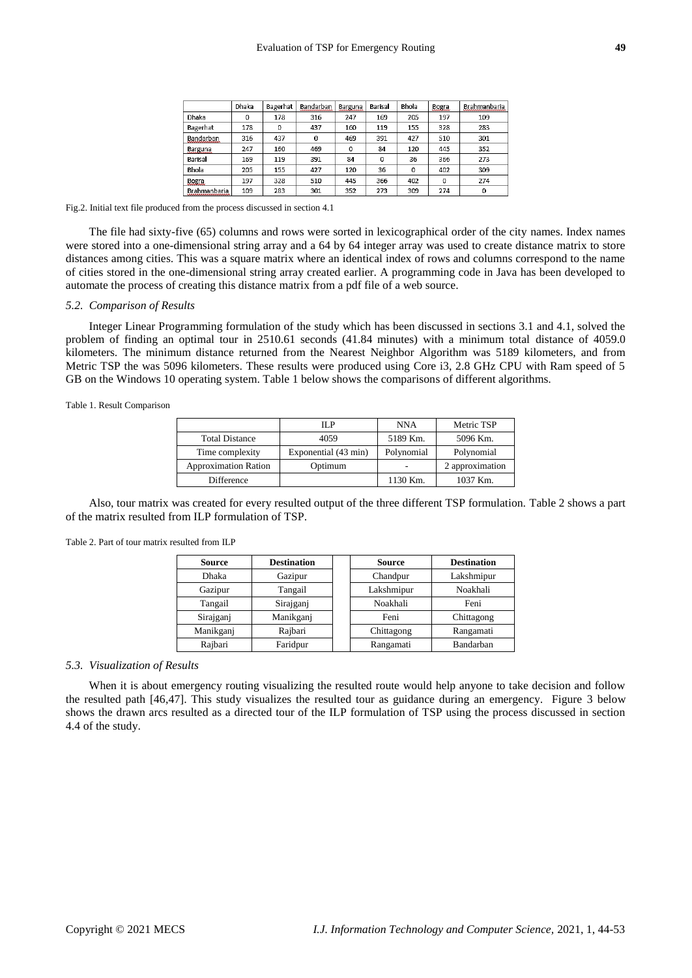|                     | Dhaka | Bagerhat | Bandarban | Barguna | Barisal | Bhola | Bogra | Brahmanbaria |
|---------------------|-------|----------|-----------|---------|---------|-------|-------|--------------|
| Dhaka               | 0     | 178      | 316       | 247     | 169     | 205   | 197   | 109          |
| Bagerhat            | 178   | 0        | 437       | 160     | 119     | 155   | 328   | 283          |
| Bandarban           | 316   | 437      | 0         | 469     | 391     | 427   | 510   | 301          |
| Barguna             | 247   | 160      | 469       | 0       | 84      | 120   | 445   | 352          |
| Barisal             | 169   | 119      | 391       | 84      | 0       | 36    | 366   | 273          |
| Bhola               | 205   | 155      | 427       | 120     | 36      | 0     | 402   | 309          |
| Bogra               | 197   | 328      | 510       | 445     | 366     | 402   | 0     | 274          |
| <b>Brahmanbaria</b> | 109   | 283      | 301       | 352     | 273     | 309   | 274   | 0            |

Fig.2. Initial text file produced from the process discussed in section 4.1

The file had sixty-five (65) columns and rows were sorted in lexicographical order of the city names. Index names were stored into a one-dimensional string array and a 64 by 64 integer array was used to create distance matrix to store distances among cities. This was a square matrix where an identical index of rows and columns correspond to the name of cities stored in the one-dimensional string array created earlier. A programming code in Java has been developed to automate the process of creating this distance matrix from a pdf file of a web source.

#### *5.2. Comparison of Results*

Integer Linear Programming formulation of the study which has been discussed in sections 3.1 and 4.1, solved the problem of finding an optimal tour in 2510.61 seconds (41.84 minutes) with a minimum total distance of 4059.0 kilometers. The minimum distance returned from the Nearest Neighbor Algorithm was 5189 kilometers, and from Metric TSP the was 5096 kilometers. These results were produced using Core i3, 2.8 GHz CPU with Ram speed of 5 GB on the Windows 10 operating system. Table 1 below shows the comparisons of different algorithms.

Table 1. Result Comparison

|                             | IL P                 | NNA        | Metric TSP      |
|-----------------------------|----------------------|------------|-----------------|
| <b>Total Distance</b>       | 4059                 | 5189 Km.   | 5096 Km.        |
| Time complexity             | Exponential (43 min) | Polynomial | Polynomial      |
| <b>Approximation Ration</b> | Optimum              | -          | 2 approximation |
| Difference                  |                      | 1130 Km.   | 1037 Km.        |

Also, tour matrix was created for every resulted output of the three different TSP formulation. Table 2 shows a part of the matrix resulted from ILP formulation of TSP.

Table 2. Part of tour matrix resulted from ILP

| <b>Source</b> | <b>Destination</b> | <b>Source</b> | <b>Destination</b> |
|---------------|--------------------|---------------|--------------------|
| <b>Dhaka</b>  | Gazipur            | Chandpur      | Lakshmipur         |
| Gazipur       | Tangail            | Lakshmipur    | Noakhali           |
| Tangail       | Sirajganj          | Noakhali      | Feni               |
| Sirajganj     | Manikganj          | Feni          | Chittagong         |
| Manikganj     | Rajbari            | Chittagong    | Rangamati          |
| Rajbari       | Faridpur           | Rangamati     | Bandarban          |

#### *5.3. Visualization of Results*

When it is about emergency routing visualizing the resulted route would help anyone to take decision and follow the resulted path [46,47]. This study visualizes the resulted tour as guidance during an emergency. Figure 3 below shows the drawn arcs resulted as a directed tour of the ILP formulation of TSP using the process discussed in section 4.4 of the study.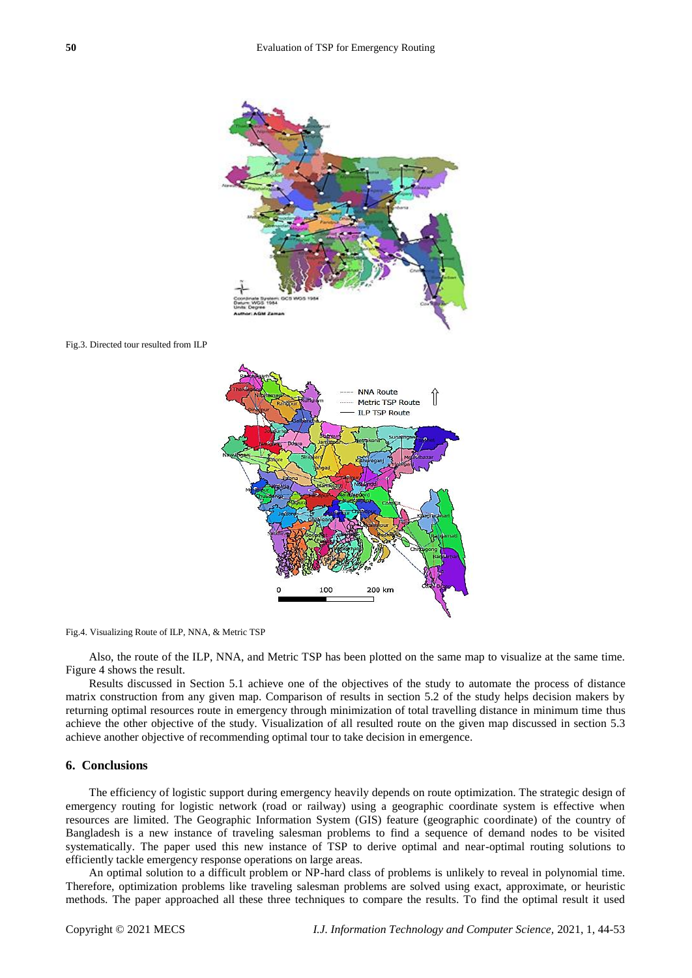

Fig.4. Visualizing Route of ILP, NNA, & Metric TSP

Also, the route of the ILP, NNA, and Metric TSP has been plotted on the same map to visualize at the same time. Figure 4 shows the result.

100

Results discussed in Section 5.1 achieve one of the objectives of the study to automate the process of distance matrix construction from any given map. Comparison of results in section 5.2 of the study helps decision makers by returning optimal resources route in emergency through minimization of total travelling distance in minimum time thus achieve the other objective of the study. Visualization of all resulted route on the given map discussed in section 5.3 achieve another objective of recommending optimal tour to take decision in emergence.

#### **6. Conclusions**

The efficiency of logistic support during emergency heavily depends on route optimization. The strategic design of emergency routing for logistic network (road or railway) using a geographic coordinate system is effective when resources are limited. The Geographic Information System (GIS) feature (geographic coordinate) of the country of Bangladesh is a new instance of traveling salesman problems to find a sequence of demand nodes to be visited systematically. The paper used this new instance of TSP to derive optimal and near-optimal routing solutions to efficiently tackle emergency response operations on large areas.

An optimal solution to a difficult problem or NP-hard class of problems is unlikely to reveal in polynomial time. Therefore, optimization problems like traveling salesman problems are solved using exact, approximate, or heuristic methods. The paper approached all these three techniques to compare the results. To find the optimal result it used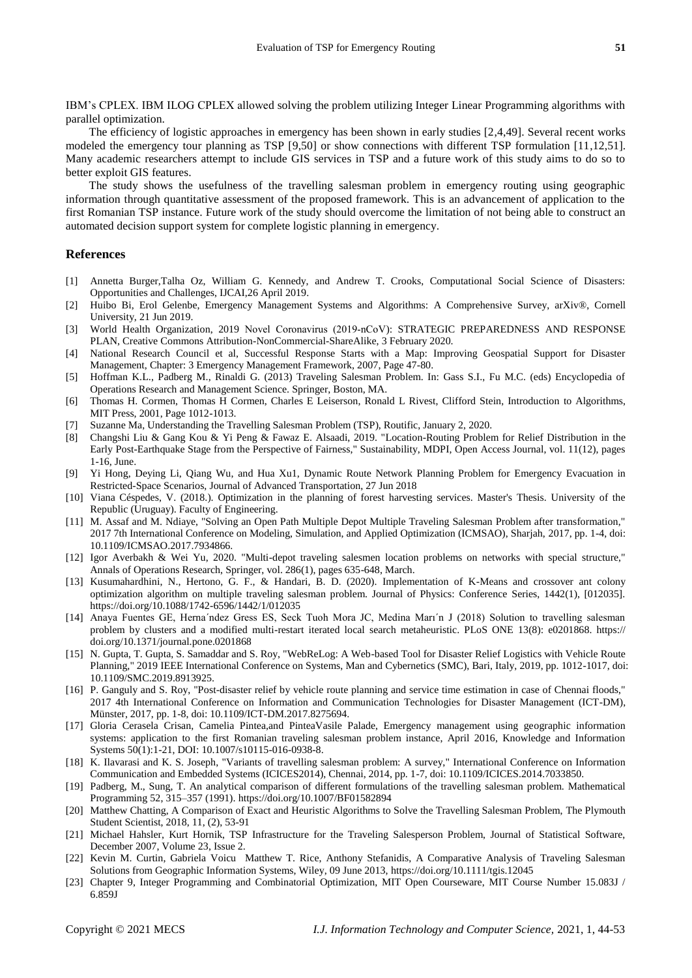IBM's CPLEX. IBM ILOG CPLEX allowed solving the problem utilizing Integer Linear Programming algorithms with parallel optimization.

The efficiency of logistic approaches in emergency has been shown in early studies [2,4,49]. Several recent works modeled the emergency tour planning as TSP [9,50] or show connections with different TSP formulation [11,12,51]. Many academic researchers attempt to include GIS services in TSP and a future work of this study aims to do so to better exploit GIS features.

The study shows the usefulness of the travelling salesman problem in emergency routing using geographic information through quantitative assessment of the proposed framework. This is an advancement of application to the first Romanian TSP instance. Future work of the study should overcome the limitation of not being able to construct an automated decision support system for complete logistic planning in emergency.

#### **References**

- [1] Annetta Burger,Talha Oz, William G. Kennedy, and Andrew T. Crooks, Computational Social Science of Disasters: Opportunities and Challenges, IJCAI,26 April 2019.
- [2] Huibo Bi, Erol Gelenbe, Emergency Management Systems and Algorithms: A Comprehensive Survey, arXiv®, Cornell University, 21 Jun 2019.
- [3] World Health Organization, 2019 Novel Coronavirus (2019-nCoV): STRATEGIC PREPAREDNESS AND RESPONSE PLAN, Creative Commons Attribution-NonCommercial-ShareAlike, 3 February 2020.
- [4] National Research Council et al, Successful Response Starts with a Map: Improving Geospatial Support for Disaster Management, Chapter: 3 Emergency Management Framework, 2007, Page 47-80.
- [5] Hoffman K.L., Padberg M., Rinaldi G. (2013) Traveling Salesman Problem. In: Gass S.I., Fu M.C. (eds) Encyclopedia of Operations Research and Management Science. Springer, Boston, MA.
- [6] Thomas H. Cormen, Thomas H Cormen, Charles E Leiserson, Ronald L Rivest, Clifford Stein, Introduction to Algorithms, MIT Press, 2001, Page 1012-1013.
- [7] Suzanne Ma, Understanding the Travelling Salesman Problem (TSP), Routific, January 2, 2020.
- [8] Changshi Liu & Gang Kou & Yi Peng & Fawaz E. Alsaadi, 2019. "Location-Routing Problem for Relief Distribution in the Early Post-Earthquake Stage from the Perspective of Fairness," Sustainability, MDPI, Open Access Journal, vol. 11(12), pages 1-16, June.
- [9] Yi Hong, Deying Li, Qiang Wu, and Hua Xu1, Dynamic Route Network Planning Problem for Emergency Evacuation in Restricted-Space Scenarios, Journal of Advanced Transportation, 27 Jun 2018
- [10] Viana Céspedes, V. (2018.). Optimization in the planning of forest harvesting services. Master's Thesis. University of the Republic (Uruguay). Faculty of Engineering.
- [11] M. Assaf and M. Ndiaye, "Solving an Open Path Multiple Depot Multiple Traveling Salesman Problem after transformation," 2017 7th International Conference on Modeling, Simulation, and Applied Optimization (ICMSAO), Sharjah, 2017, pp. 1-4, doi: 10.1109/ICMSAO.2017.7934866.
- [12] Igor Averbakh & Wei Yu, 2020. "Multi-depot traveling salesmen location problems on networks with special structure," Annals of Operations Research, Springer, vol. 286(1), pages 635-648, March.
- [13] Kusumahardhini, N., Hertono, G. F., & Handari, B. D. (2020). Implementation of K-Means and crossover ant colony optimization algorithm on multiple traveling salesman problem. Journal of Physics: Conference Series, 1442(1), [012035]. <https://doi.org/10.1088/1742-6596/1442/1/012035>
- [14] Anaya Fuentes GE, Herna´ndez Gress ES, Seck Tuoh Mora JC, Medina Marı´n J (2018) Solution to travelling salesman problem by clusters and a modified multi-restart iterated local search metaheuristic. PLoS ONE 13(8): e0201868. https:// doi.org/10.1371/journal.pone.0201868
- [15] N. Gupta, T. Gupta, S. Samaddar and S. Roy, "WebReLog: A Web-based Tool for Disaster Relief Logistics with Vehicle Route Planning," 2019 IEEE International Conference on Systems, Man and Cybernetics (SMC), Bari, Italy, 2019, pp. 1012-1017, doi: 10.1109/SMC.2019.8913925.
- [16] P. Ganguly and S. Roy, "Post-disaster relief by vehicle route planning and service time estimation in case of Chennai floods," 2017 4th International Conference on Information and Communication Technologies for Disaster Management (ICT-DM), Münster, 2017, pp. 1-8, doi: 10.1109/ICT-DM.2017.8275694.
- [17] Gloria Cerasela Crisan, Camelia Pintea,and PinteaVasile Palade, Emergency management using geographic information systems: application to the first Romanian traveling salesman problem instance, April 2016, Knowledge and Information Systems 50(1):1-21, DOI: 10.1007/s10115-016-0938-8.
- [18] K. Ilavarasi and K. S. Joseph, "Variants of travelling salesman problem: A survey," International Conference on Information Communication and Embedded Systems (ICICES2014), Chennai, 2014, pp. 1-7, doi: 10.1109/ICICES.2014.7033850.
- [19] Padberg, M., Sung, T. An analytical comparison of different formulations of the travelling salesman problem. Mathematical Programming 52, 315–357 (1991).<https://doi.org/10.1007/BF01582894>
- [20] Matthew Chatting, A Comparison of Exact and Heuristic Algorithms to Solve the Travelling Salesman Problem, The Plymouth Student Scientist, 2018, 11, (2), 53-91
- [21] Michael Hahsler, Kurt Hornik, TSP Infrastructure for the Traveling Salesperson Problem, Journal of Statistical Software, December 2007, Volume 23, Issue 2.
- [22] Kevin M. Curtin, Gabriela Voicu Matthew T. Rice, Anthony Stefanidis, A Comparative Analysis of Traveling Salesman Solutions from Geographic Information Systems, Wiley, 09 June 2013[, https://doi.org/10.1111/tgis.12045](https://doi.org/10.1111/tgis.12045)
- [23] Chapter 9, Integer Programming and Combinatorial Optimization, MIT Open Courseware, MIT Course Number 15.083J / 6.859J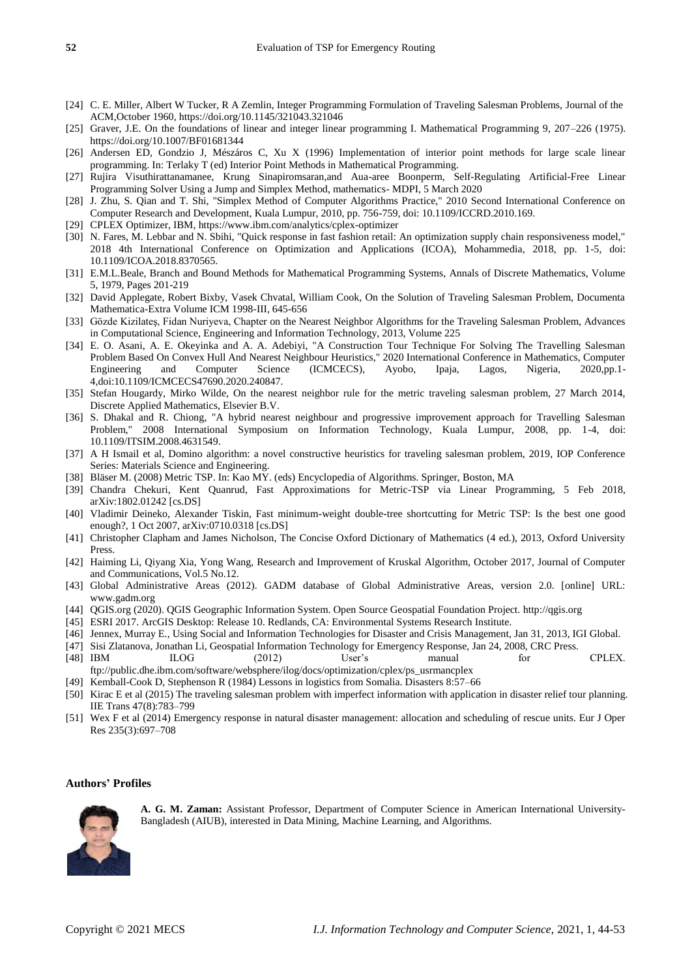- [24] C. E. Miller, Albert W Tucker, R A Zemlin, Integer Programming Formulation of Traveling Salesman Problems, Journal of the ACM,October 1960,<https://doi.org/10.1145/321043.321046>
- [25] Graver, J.E. On the foundations of linear and integer linear programming I. Mathematical Programming 9, 207–226 (1975). <https://doi.org/10.1007/BF01681344>
- [26] Andersen ED, Gondzio J, Mészáros C, Xu X (1996) Implementation of interior point methods for large scale linear programming. In: Terlaky T (ed) Interior Point Methods in Mathematical Programming.
- [27] Rujira Visuthirattanamanee, Krung Sinapiromsaran,and Aua-aree Boonperm, Self-Regulating Artificial-Free Linear Programming Solver Using a Jump and Simplex Method, mathematics- MDPI, 5 March 2020
- [28] J. Zhu, S. Qian and T. Shi, "Simplex Method of Computer Algorithms Practice," 2010 Second International Conference on Computer Research and Development, Kuala Lumpur, 2010, pp. 756-759, doi: 10.1109/ICCRD.2010.169.
- [29] CPLEX Optimizer, IBM, https://www.ibm.com/analytics/cplex-optimizer
- [30] N. Fares, M. Lebbar and N. Sbihi, "Quick response in fast fashion retail: An optimization supply chain responsiveness model," 2018 4th International Conference on Optimization and Applications (ICOA), Mohammedia, 2018, pp. 1-5, doi: 10.1109/ICOA.2018.8370565.
- [31] E.M.L.Beale, Branch and Bound Methods for Mathematical Programming Systems, Annals of Discrete Mathematics, Volume 5, 1979, Pages 201-219
- [32] David Applegate, Robert Bixby, Vasek Chvatal, William Cook, On the Solution of Traveling Salesman Problem, Documenta Mathematica-Extra Volume ICM 1998-III, 645-656
- [33] Gözde Kizilateş, Fidan Nuriyeva, Chapter on the Nearest Neighbor Algorithms for the Traveling Salesman Problem, Advances in Computational Science, Engineering and Information Technology, 2013, Volume 225
- [34] E. O. Asani, A. E. Okeyinka and A. A. Adebiyi, "A Construction Tour Technique For Solving The Travelling Salesman Problem Based On Convex Hull And Nearest Neighbour Heuristics," 2020 International Conference in Mathematics, Computer Engineering and Computer Science (ICMCECS), Ayobo, Ipaja, Lagos, Nigeria, 2020,pp.1- 4,doi:10.1109/ICMCECS47690.2020.240847.
- [35] Stefan Hougardy, Mirko Wilde, On the nearest neighbor rule for the metric traveling salesman problem, 27 March 2014, Discrete Applied Mathematics, Elsevier B.V.
- [36] S. Dhakal and R. Chiong, "A hybrid nearest neighbour and progressive improvement approach for Travelling Salesman Problem," 2008 International Symposium on Information Technology, Kuala Lumpur, 2008, pp. 1-4, doi: 10.1109/ITSIM.2008.4631549.
- [37] A H Ismail et al, Domino algorithm: a novel constructive heuristics for traveling salesman problem, 2019, IOP Conference Series: Materials Science and Engineering.
- [38] Bläser M. (2008) Metric TSP. In: Kao MY. (eds) Encyclopedia of Algorithms. Springer, Boston, MA
- [39] Chandra Chekuri, Kent Quanrud, Fast Approximations for Metric-TSP via Linear Programming, 5 Feb 2018, arXiv:1802.01242 [cs.DS]
- [40] Vladimir Deineko, Alexander Tiskin, Fast minimum-weight double-tree shortcutting for Metric TSP: Is the best one good enough?, 1 Oct 2007, arXiv:0710.0318 [cs.DS]
- [41] Christopher Clapham and James Nicholson, The Concise Oxford Dictionary of Mathematics (4 ed.), 2013, Oxford University Press.
- [42] Haiming Li, Qiyang Xia, Yong Wang, Research and Improvement of Kruskal Algorithm, October 2017, Journal of Computer and Communications, Vol.5 No.12.
- [43] Global Administrative Areas (2012). GADM database of Global Administrative Areas, version 2.0. [online] URL: [www.gadm.org](http://www.gadm.org/)
- [44] QGIS.org (2020). QGIS Geographic Information System. Open Source Geospatial Foundation Project. [http://qgis.org](http://qgis.org/)
- [45] ESRI 2017. ArcGIS Desktop: Release 10. Redlands, CA: Environmental Systems Research Institute.
- [46] Jennex, Murray E., Using Social and Information Technologies for Disaster and Crisis Management, Jan 31, 2013, IGI Global.
- [47] Sisi Zlatanova, Jonathan Li, Geospatial Information Technology for Emergency Response, Jan 24, 2008, CRC Press.
- [48] IBM ILOG (2012) User's manual for CPLEX. [ftp://public.dhe.ibm.com/software/websphere/ilog/docs/optimization/cplex/ps\\_usrmancplex](ftp://public.dhe.ibm.com/software/websphere/ilog/docs/optimization/cplex/ps_usrmancplex)
- [49] Kemball-Cook D, Stephenson R (1984) Lessons in logistics from Somalia. Disasters 8:57–66
- [50] Kirac E et al (2015) The traveling salesman problem with imperfect information with application in disaster relief tour planning. IIE Trans 47(8):783–799
- [51] Wex F et al (2014) Emergency response in natural disaster management: allocation and scheduling of rescue units. Eur J Oper Res 235(3):697–708

## **Authors' Profiles**



**A. G. M. Zaman:** Assistant Professor, Department of Computer Science in American International University-Bangladesh (AIUB), interested in Data Mining, Machine Learning, and Algorithms.